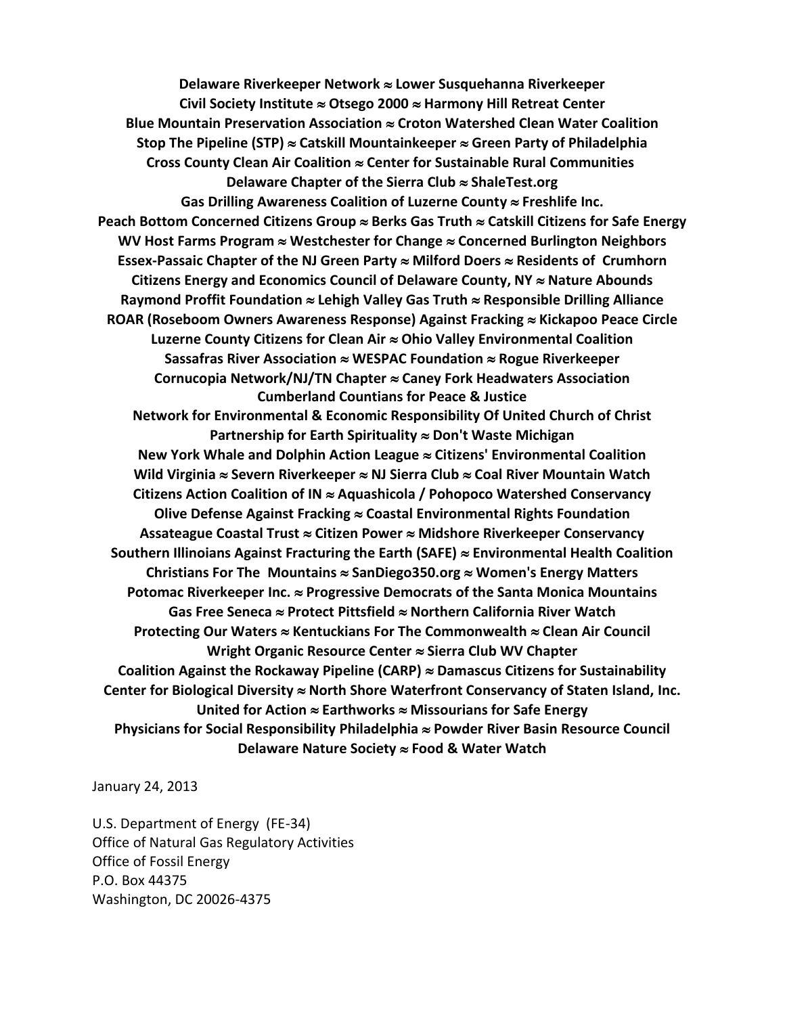**Delaware Riverkeeper Network Lower Susquehanna Riverkeeper Civil Society Institute Otsego 2000 Harmony Hill Retreat Center Blue Mountain Preservation Association Croton Watershed Clean Water Coalition Stop The Pipeline (STP) Catskill Mountainkeeper Green Party of Philadelphia Cross County Clean Air Coalition Center for Sustainable Rural Communities Delaware Chapter of the Sierra Club ShaleTest.org Gas Drilling Awareness Coalition of Luzerne County Freshlife Inc.** Peach Bottom Concerned Citizens Group ≈ Berks Gas Truth ≈ Catskill Citizens for Safe Energy **WV Host Farms Program Westchester for Change Concerned Burlington Neighbors Essex-Passaic Chapter of the NJ Green Party Milford Doers Residents of Crumhorn**  Citizens Energy and Economics Council of Delaware County, NY ≈ Nature Abounds **Raymond Proffit Foundation Lehigh Valley Gas Truth Responsible Drilling Alliance ROAR (Roseboom Owners Awareness Response) Against Fracking Kickapoo Peace Circle Luzerne County Citizens for Clean Air Ohio Valley Environmental Coalition Sassafras River Association WESPAC Foundation Rogue Riverkeeper Cornucopia Network/NJ/TN Chapter Caney Fork Headwaters Association Cumberland Countians for Peace & Justice Network for Environmental & Economic Responsibility Of United Church of Christ Partnership for Earth Spirituality Don't Waste Michigan New York Whale and Dolphin Action League Citizens' Environmental Coalition Wild Virginia Severn Riverkeeper NJ Sierra Club Coal River Mountain Watch Citizens Action Coalition of IN Aquashicola / Pohopoco Watershed Conservancy Olive Defense Against Fracking Coastal Environmental Rights Foundation Assateague Coastal Trust Citizen Power Midshore Riverkeeper Conservancy Southern Illinoians Against Fracturing the Earth (SAFE) [Environmental Health Coalition](http://www.environmentalhealth.org/) Christians For The Mountains SanDiego350.org Women's Energy Matters Potomac Riverkeeper Inc. Progressive Democrats of the Santa Monica Mountains Gas Free Seneca Protect Pittsfield Northern California River Watch Protecting Our Waters Kentuckians For The Commonwealth Clean Air Council Wright Organic Resource Center Sierra Club WV Chapter Coalition Against the Rockaway Pipeline (CARP) Damascus Citizens for Sustainability Center for Biological Diversity North Shore Waterfront Conservancy of Staten Island, Inc. United for Action ≈ Earthworks ≈ Missourians for Safe Energy Physicians for Social Responsibility Philadelphia Powder River Basin Resource Council Delaware Nature Society Food & Water Watch**

January 24, 2013

U.S. Department of Energy (FE-34) Office of Natural Gas Regulatory Activities Office of Fossil Energy P.O. Box 44375 Washington, DC 20026-4375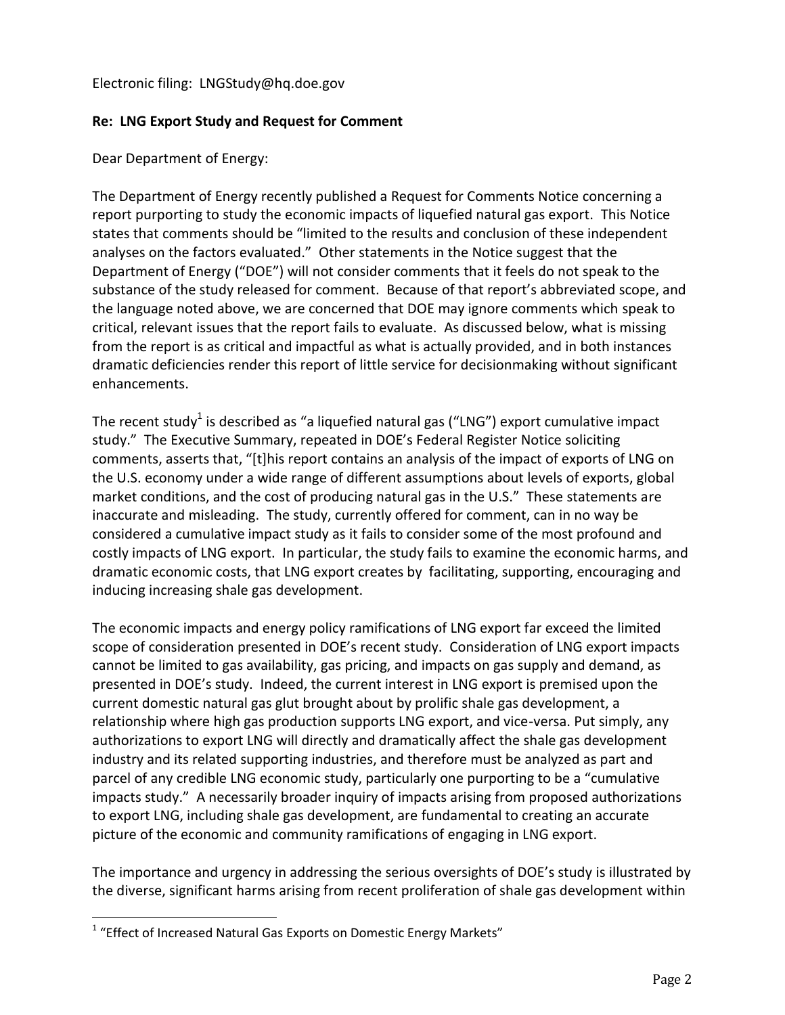## Electronic filing: LNGStudy@hq.doe.gov

## **Re: LNG Export Study and Request for Comment**

Dear Department of Energy:

The Department of Energy recently published a Request for Comments Notice concerning a report purporting to study the economic impacts of liquefied natural gas export. This Notice states that comments should be "limited to the results and conclusion of these independent analyses on the factors evaluated." Other statements in the Notice suggest that the Department of Energy ("DOE") will not consider comments that it feels do not speak to the substance of the study released for comment. Because of that report's abbreviated scope, and the language noted above, we are concerned that DOE may ignore comments which speak to critical, relevant issues that the report fails to evaluate. As discussed below, what is missing from the report is as critical and impactful as what is actually provided, and in both instances dramatic deficiencies render this report of little service for decisionmaking without significant enhancements.

The recent study<sup>1</sup> is described as "a liquefied natural gas ("LNG") export cumulative impact study." The Executive Summary, repeated in DOE's Federal Register Notice soliciting comments, asserts that, "[t]his report contains an analysis of the impact of exports of LNG on the U.S. economy under a wide range of different assumptions about levels of exports, global market conditions, and the cost of producing natural gas in the U.S." These statements are inaccurate and misleading. The study, currently offered for comment, can in no way be considered a cumulative impact study as it fails to consider some of the most profound and costly impacts of LNG export. In particular, the study fails to examine the economic harms, and dramatic economic costs, that LNG export creates by facilitating, supporting, encouraging and inducing increasing shale gas development.

The economic impacts and energy policy ramifications of LNG export far exceed the limited scope of consideration presented in DOE's recent study. Consideration of LNG export impacts cannot be limited to gas availability, gas pricing, and impacts on gas supply and demand, as presented in DOE's study. Indeed, the current interest in LNG export is premised upon the current domestic natural gas glut brought about by prolific shale gas development, a relationship where high gas production supports LNG export, and vice-versa. Put simply, any authorizations to export LNG will directly and dramatically affect the shale gas development industry and its related supporting industries, and therefore must be analyzed as part and parcel of any credible LNG economic study, particularly one purporting to be a "cumulative impacts study." A necessarily broader inquiry of impacts arising from proposed authorizations to export LNG, including shale gas development, are fundamental to creating an accurate picture of the economic and community ramifications of engaging in LNG export.

The importance and urgency in addressing the serious oversights of DOE's study is illustrated by the diverse, significant harms arising from recent proliferation of shale gas development within

l

 $1$  "Effect of Increased Natural Gas Exports on Domestic Energy Markets"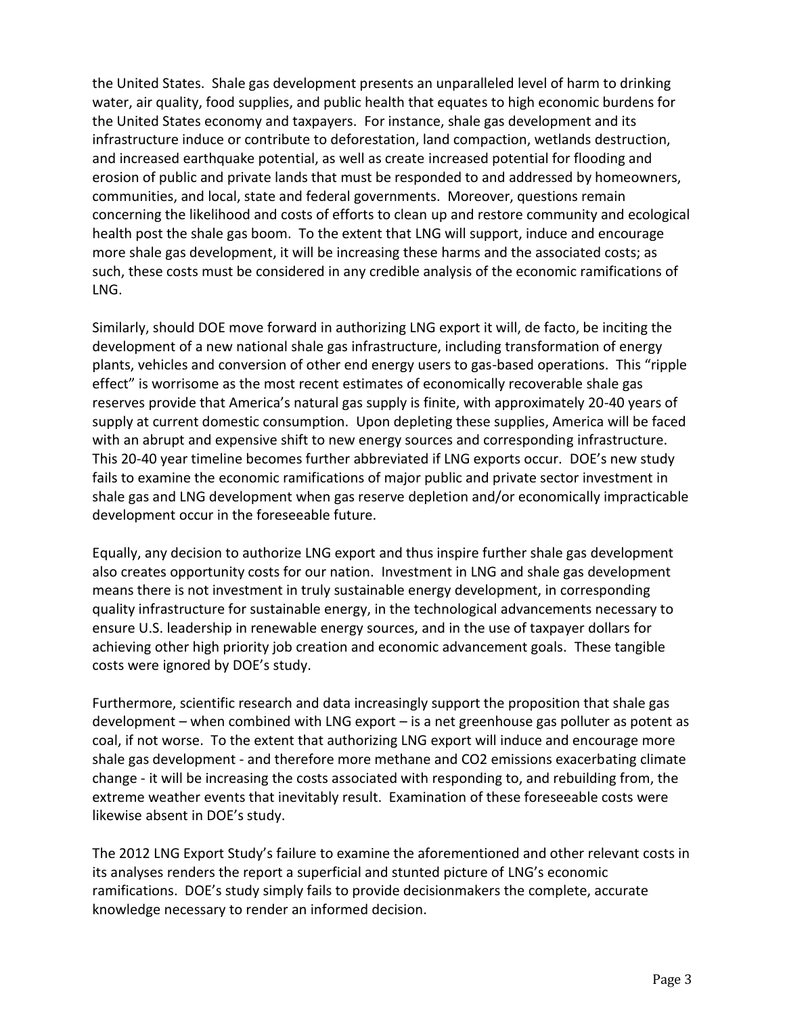the United States. Shale gas development presents an unparalleled level of harm to drinking water, air quality, food supplies, and public health that equates to high economic burdens for the United States economy and taxpayers. For instance, shale gas development and its infrastructure induce or contribute to deforestation, land compaction, wetlands destruction, and increased earthquake potential, as well as create increased potential for flooding and erosion of public and private lands that must be responded to and addressed by homeowners, communities, and local, state and federal governments. Moreover, questions remain concerning the likelihood and costs of efforts to clean up and restore community and ecological health post the shale gas boom. To the extent that LNG will support, induce and encourage more shale gas development, it will be increasing these harms and the associated costs; as such, these costs must be considered in any credible analysis of the economic ramifications of LNG.

Similarly, should DOE move forward in authorizing LNG export it will, de facto, be inciting the development of a new national shale gas infrastructure, including transformation of energy plants, vehicles and conversion of other end energy users to gas-based operations. This "ripple effect" is worrisome as the most recent estimates of economically recoverable shale gas reserves provide that America's natural gas supply is finite, with approximately 20-40 years of supply at current domestic consumption. Upon depleting these supplies, America will be faced with an abrupt and expensive shift to new energy sources and corresponding infrastructure. This 20-40 year timeline becomes further abbreviated if LNG exports occur. DOE's new study fails to examine the economic ramifications of major public and private sector investment in shale gas and LNG development when gas reserve depletion and/or economically impracticable development occur in the foreseeable future.

Equally, any decision to authorize LNG export and thus inspire further shale gas development also creates opportunity costs for our nation. Investment in LNG and shale gas development means there is not investment in truly sustainable energy development, in corresponding quality infrastructure for sustainable energy, in the technological advancements necessary to ensure U.S. leadership in renewable energy sources, and in the use of taxpayer dollars for achieving other high priority job creation and economic advancement goals. These tangible costs were ignored by DOE's study.

Furthermore, scientific research and data increasingly support the proposition that shale gas development – when combined with LNG export – is a net greenhouse gas polluter as potent as coal, if not worse. To the extent that authorizing LNG export will induce and encourage more shale gas development - and therefore more methane and CO2 emissions exacerbating climate change - it will be increasing the costs associated with responding to, and rebuilding from, the extreme weather events that inevitably result. Examination of these foreseeable costs were likewise absent in DOE's study.

The 2012 LNG Export Study's failure to examine the aforementioned and other relevant costs in its analyses renders the report a superficial and stunted picture of LNG's economic ramifications. DOE's study simply fails to provide decisionmakers the complete, accurate knowledge necessary to render an informed decision.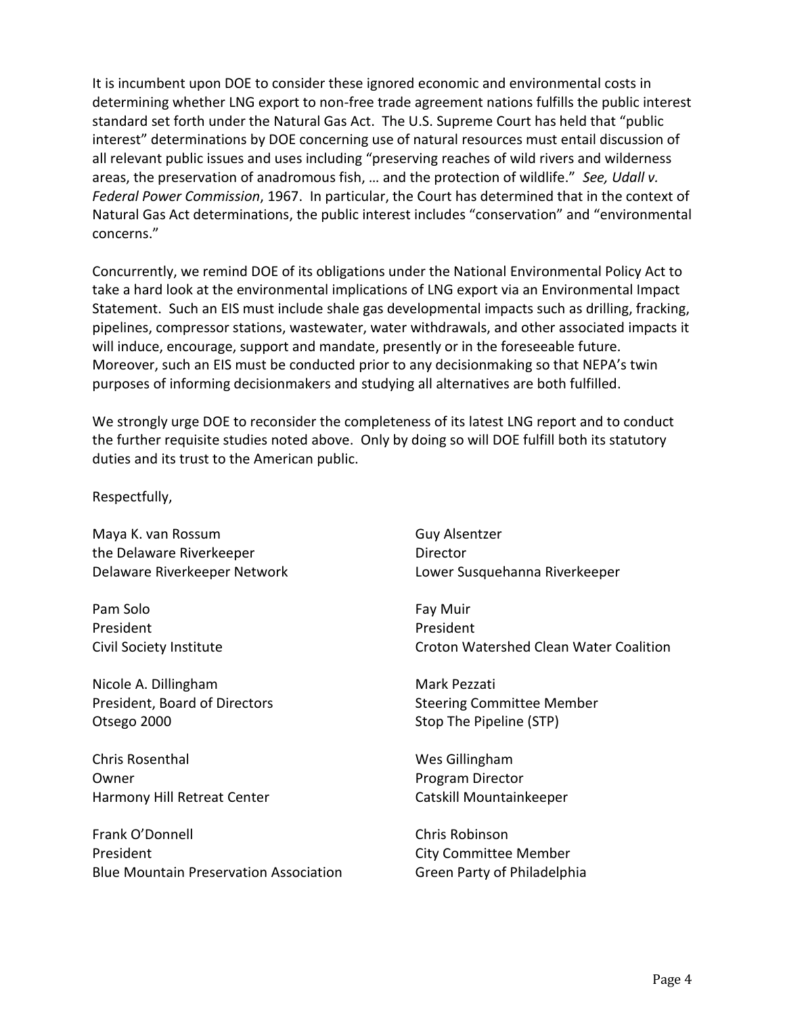It is incumbent upon DOE to consider these ignored economic and environmental costs in determining whether LNG export to non-free trade agreement nations fulfills the public interest standard set forth under the Natural Gas Act. The U.S. Supreme Court has held that "public interest" determinations by DOE concerning use of natural resources must entail discussion of all relevant public issues and uses including "preserving reaches of wild rivers and wilderness areas, the preservation of anadromous fish, … and the protection of wildlife." *See, Udall v. Federal Power Commission*, 1967. In particular, the Court has determined that in the context of Natural Gas Act determinations, the public interest includes "conservation" and "environmental concerns."

Concurrently, we remind DOE of its obligations under the National Environmental Policy Act to take a hard look at the environmental implications of LNG export via an Environmental Impact Statement. Such an EIS must include shale gas developmental impacts such as drilling, fracking, pipelines, compressor stations, wastewater, water withdrawals, and other associated impacts it will induce, encourage, support and mandate, presently or in the foreseeable future. Moreover, such an EIS must be conducted prior to any decisionmaking so that NEPA's twin purposes of informing decisionmakers and studying all alternatives are both fulfilled.

We strongly urge DOE to reconsider the completeness of its latest LNG report and to conduct the further requisite studies noted above. Only by doing so will DOE fulfill both its statutory duties and its trust to the American public.

Respectfully,

Maya K. van Rossum Guy Alsentzer the Delaware Riverkeeper **Director** 

Pam Solo President Civil Society Institute

Nicole A. Dillingham President, Board of Directors Otsego 2000

Chris Rosenthal Owner Harmony Hill Retreat Center

Frank O'Donnell President Blue Mountain Preservation Association

Delaware Riverkeeper Network Lower Susquehanna Riverkeeper

Fay Muir President Croton Watershed Clean Water Coalition

Mark Pezzati Steering Committee Member Stop The Pipeline (STP)

Wes Gillingham Program Director Catskill Mountainkeeper

Chris Robinson City Committee Member Green Party of Philadelphia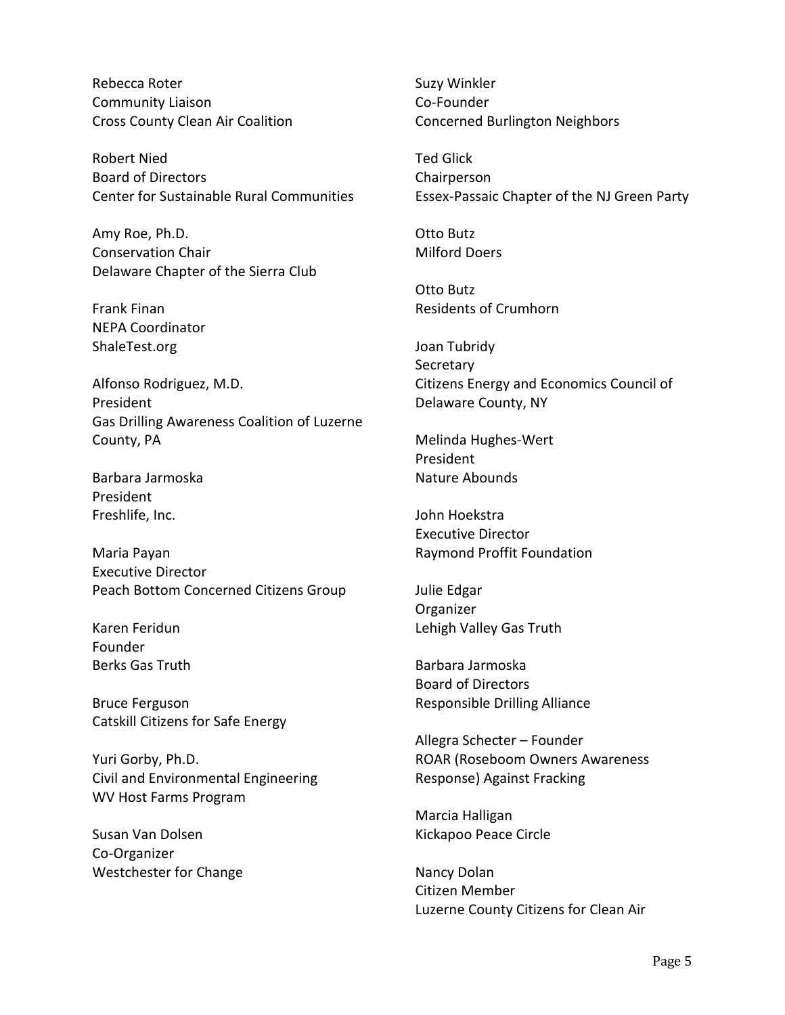Rebecca Roter Community Liaison Cross County Clean Air Coalition

Robert Nied Board of Directors Center for Sustainable Rural Communities

Amy Roe, Ph.D. Conservation Chair Delaware Chapter of the Sierra Club

Frank Finan NEPA Coordinator ShaleTest.org

Alfonso Rodriguez, M.D. President Gas Drilling Awareness Coalition of Luzerne County, PA

Barbara Jarmoska President Freshlife, Inc.

Maria Payan Executive Director Peach Bottom Concerned Citizens Group

Karen Feridun Founder Berks Gas Truth

Bruce Ferguson Catskill Citizens for Safe Energy

Yuri Gorby, Ph.D. Civil and Environmental Engineering WV Host Farms Program

Susan Van Dolsen Co-Organizer Westchester for Change Suzy Winkler Co-Founder Concerned Burlington Neighbors

Ted Glick Chairperson Essex-Passaic Chapter of the NJ Green Party

Otto Butz Milford Doers

Otto Butz Residents of Crumhorn

Joan Tubridy **Secretary** Citizens Energy and Economics Council of Delaware County, NY

Melinda Hughes-Wert President Nature Abounds

John Hoekstra Executive Director Raymond Proffit Foundation

Julie Edgar Organizer Lehigh Valley Gas Truth

Barbara Jarmoska Board of Directors Responsible Drilling Alliance

Allegra Schecter – Founder ROAR (Roseboom Owners Awareness Response) Against Fracking

Marcia Halligan Kickapoo Peace Circle

Nancy Dolan Citizen Member Luzerne County Citizens for Clean Air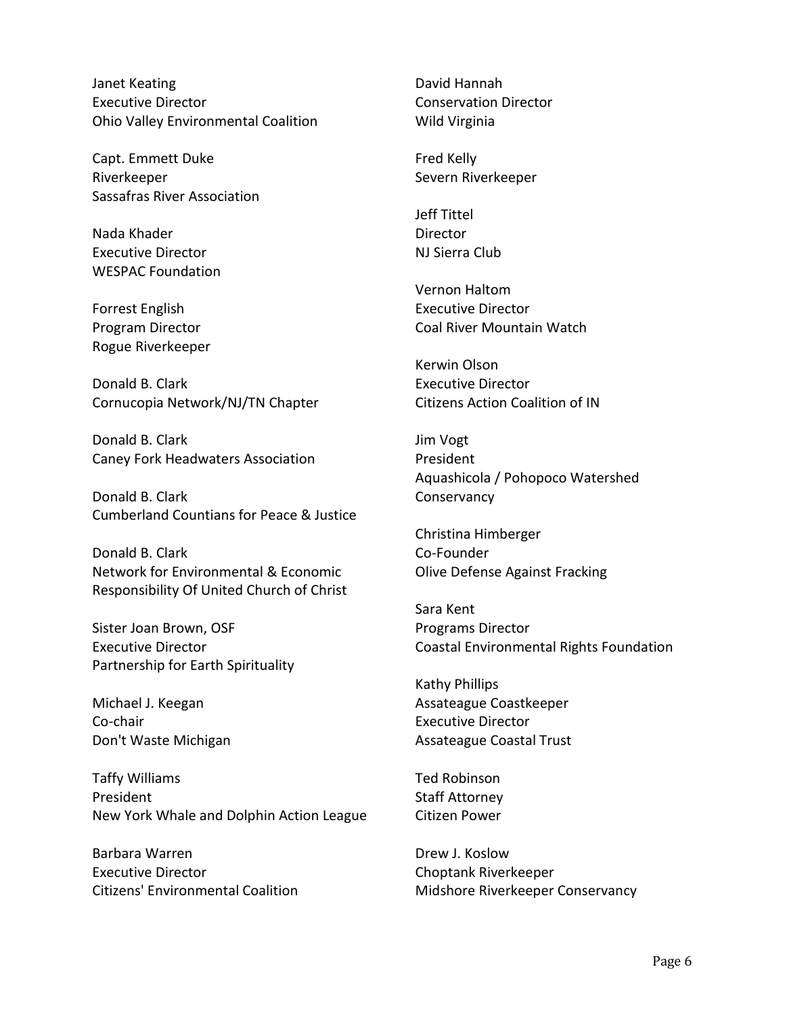Janet Keating Executive Director Ohio Valley Environmental Coalition

Capt. Emmett Duke Riverkeeper Sassafras River Association

Nada Khader Executive Director WESPAC Foundation

Forrest English Program Director Rogue Riverkeeper

Donald B. Clark Cornucopia Network/NJ/TN Chapter

Donald B. Clark Caney Fork Headwaters Association

Donald B. Clark Cumberland Countians for Peace & Justice

Donald B. Clark Network for Environmental & Economic Responsibility Of United Church of Christ

Sister Joan Brown, OSF Executive Director Partnership for Earth Spirituality

Michael J. Keegan Co-chair Don't Waste Michigan

Taffy Williams President New York Whale and Dolphin Action League

Barbara Warren Executive Director Citizens' Environmental Coalition David Hannah Conservation Director Wild Virginia

Fred Kelly Severn Riverkeeper

Jeff Tittel Director NJ Sierra Club

Vernon Haltom Executive Director Coal River Mountain Watch

Kerwin Olson Executive Director Citizens Action Coalition of IN

Jim Vogt President Aquashicola / Pohopoco Watershed **Conservancy** 

Christina Himberger Co-Founder Olive Defense Against Fracking

Sara Kent Programs Director Coastal Environmental Rights Foundation

Kathy Phillips Assateague Coastkeeper Executive Director Assateague Coastal Trust

Ted Robinson Staff Attorney Citizen Power

Drew J. Koslow Choptank Riverkeeper Midshore Riverkeeper Conservancy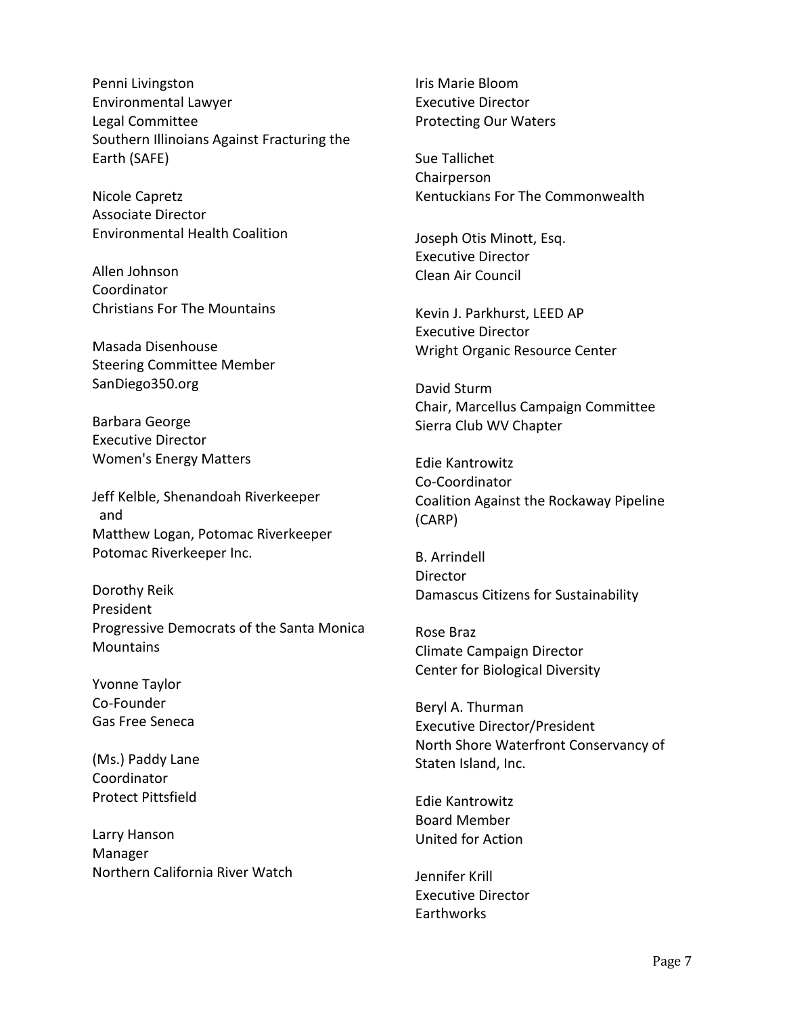Penni Livingston Environmental Lawyer Legal Committee Southern Illinoians Against Fracturing the Earth (SAFE)

Nicole Capretz Associate Director [Environmental Health Coalition](http://www.environmentalhealth.org/)

Allen Johnson Coordinator Christians For The Mountains

Masada Disenhouse Steering Committee Member SanDiego350.org

Barbara George Executive Director Women's Energy Matters

Jeff Kelble, Shenandoah Riverkeeper and Matthew Logan, Potomac Riverkeeper Potomac Riverkeeper Inc.

Dorothy Reik President Progressive Democrats of the Santa Monica **Mountains** 

Yvonne Taylor Co-Founder Gas Free Seneca

(Ms.) Paddy Lane Coordinator Protect Pittsfield

Larry Hanson Manager Northern California River Watch Iris Marie Bloom Executive Director Protecting Our Waters

Sue Tallichet Chairperson Kentuckians For The Commonwealth

Joseph Otis Minott, Esq. Executive Director Clean Air Council

Kevin J. Parkhurst, LEED AP Executive Director Wright Organic Resource Center

David Sturm Chair, Marcellus Campaign Committee Sierra Club WV Chapter

Edie Kantrowitz Co-Coordinator Coalition Against the Rockaway Pipeline (CARP)

B. Arrindell **Director** Damascus Citizens for Sustainability

Rose Braz Climate Campaign Director Center for Biological Diversity

Beryl A. Thurman Executive Director/President North Shore Waterfront Conservancy of Staten Island, Inc.

Edie Kantrowitz Board Member United for Action

Jennifer Krill Executive Director **Farthworks**